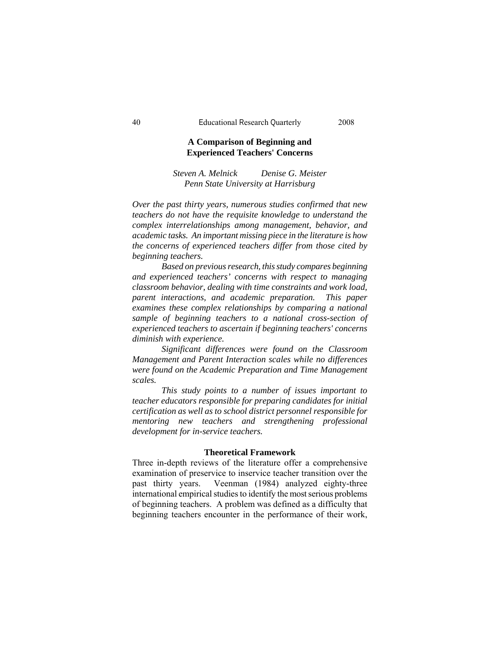# **A Comparison of Beginning and Experienced Teachers' Concerns**

*Steven A. Melnick Denise G. Meister Penn State University at Harrisburg* 

*Over the past thirty years, numerous studies confirmed that new teachers do not have the requisite knowledge to understand the complex interrelationships among management, behavior, and academic tasks. An important missing piece in the literature is how the concerns of experienced teachers differ from those cited by beginning teachers.* 

*Based on previous research, this study compares beginning and experienced teachers' concerns with respect to managing classroom behavior, dealing with time constraints and work load, parent interactions, and academic preparation. This paper examines these complex relationships by comparing a national sample of beginning teachers to a national cross-section of experienced teachers to ascertain if beginning teachers' concerns diminish with experience.* 

*Significant differences were found on the Classroom Management and Parent Interaction scales while no differences were found on the Academic Preparation and Time Management scales.* 

*This study points to a number of issues important to teacher educators responsible for preparing candidates for initial certification as well as to school district personnel responsible for mentoring new teachers and strengthening professional development for in-service teachers.* 

### **Theoretical Framework**

Three in-depth reviews of the literature offer a comprehensive examination of preservice to inservice teacher transition over the past thirty years. Veenman (1984) analyzed eighty-three international empirical studies to identify the most serious problems of beginning teachers. A problem was defined as a difficulty that beginning teachers encounter in the performance of their work,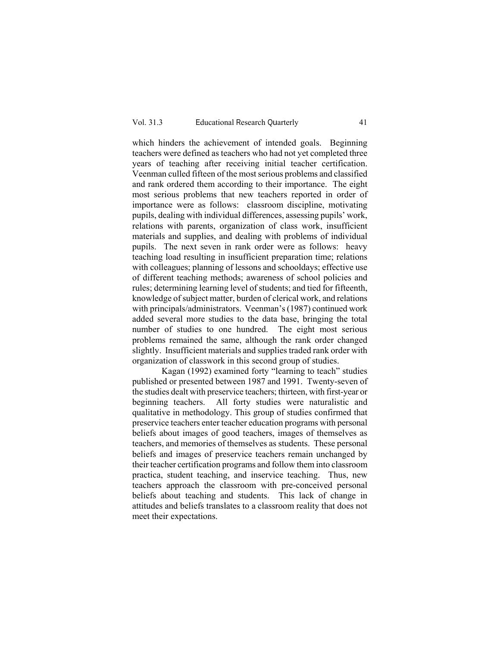which hinders the achievement of intended goals. Beginning teachers were defined as teachers who had not yet completed three years of teaching after receiving initial teacher certification. Veenman culled fifteen of the most serious problems and classified and rank ordered them according to their importance. The eight most serious problems that new teachers reported in order of importance were as follows: classroom discipline, motivating pupils, dealing with individual differences, assessing pupils' work, relations with parents, organization of class work, insufficient materials and supplies, and dealing with problems of individual pupils. The next seven in rank order were as follows: heavy teaching load resulting in insufficient preparation time; relations with colleagues; planning of lessons and schooldays; effective use of different teaching methods; awareness of school policies and rules; determining learning level of students; and tied for fifteenth, knowledge of subject matter, burden of clerical work, and relations with principals/administrators. Veenman's (1987) continued work added several more studies to the data base, bringing the total number of studies to one hundred. The eight most serious problems remained the same, although the rank order changed slightly. Insufficient materials and supplies traded rank order with organization of classwork in this second group of studies.

 Kagan (1992) examined forty "learning to teach" studies published or presented between 1987 and 1991. Twenty-seven of the studies dealt with preservice teachers; thirteen, with first-year or beginning teachers. All forty studies were naturalistic and qualitative in methodology. This group of studies confirmed that preservice teachers enter teacher education programs with personal beliefs about images of good teachers, images of themselves as teachers, and memories of themselves as students. These personal beliefs and images of preservice teachers remain unchanged by their teacher certification programs and follow them into classroom practica, student teaching, and inservice teaching. Thus, new teachers approach the classroom with pre-conceived personal beliefs about teaching and students. This lack of change in attitudes and beliefs translates to a classroom reality that does not meet their expectations.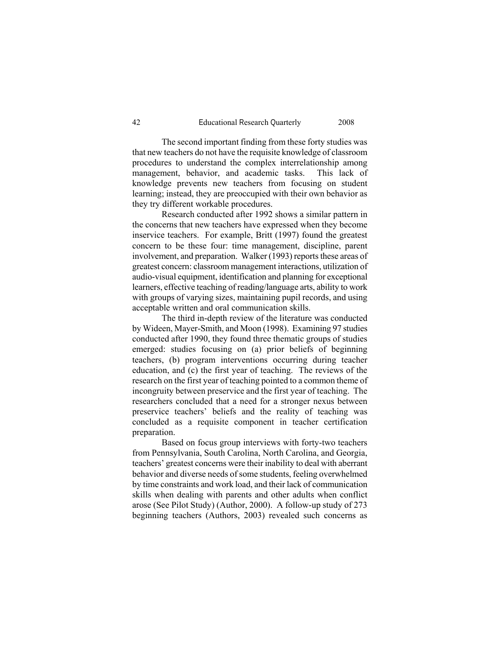The second important finding from these forty studies was that new teachers do not have the requisite knowledge of classroom procedures to understand the complex interrelationship among management, behavior, and academic tasks. This lack of knowledge prevents new teachers from focusing on student learning; instead, they are preoccupied with their own behavior as they try different workable procedures.

 Research conducted after 1992 shows a similar pattern in the concerns that new teachers have expressed when they become inservice teachers. For example, Britt (1997) found the greatest concern to be these four: time management, discipline, parent involvement, and preparation. Walker (1993) reports these areas of greatest concern: classroom management interactions, utilization of audio-visual equipment, identification and planning for exceptional learners, effective teaching of reading/language arts, ability to work with groups of varying sizes, maintaining pupil records, and using acceptable written and oral communication skills.

 The third in-depth review of the literature was conducted by Wideen, Mayer-Smith, and Moon (1998). Examining 97 studies conducted after 1990, they found three thematic groups of studies emerged: studies focusing on (a) prior beliefs of beginning teachers, (b) program interventions occurring during teacher education, and (c) the first year of teaching. The reviews of the research on the first year of teaching pointed to a common theme of incongruity between preservice and the first year of teaching. The researchers concluded that a need for a stronger nexus between preservice teachers' beliefs and the reality of teaching was concluded as a requisite component in teacher certification preparation.

Based on focus group interviews with forty-two teachers from Pennsylvania, South Carolina, North Carolina, and Georgia, teachers' greatest concerns were their inability to deal with aberrant behavior and diverse needs of some students, feeling overwhelmed by time constraints and work load, and their lack of communication skills when dealing with parents and other adults when conflict arose (See Pilot Study) (Author, 2000). A follow-up study of 273 beginning teachers (Authors, 2003) revealed such concerns as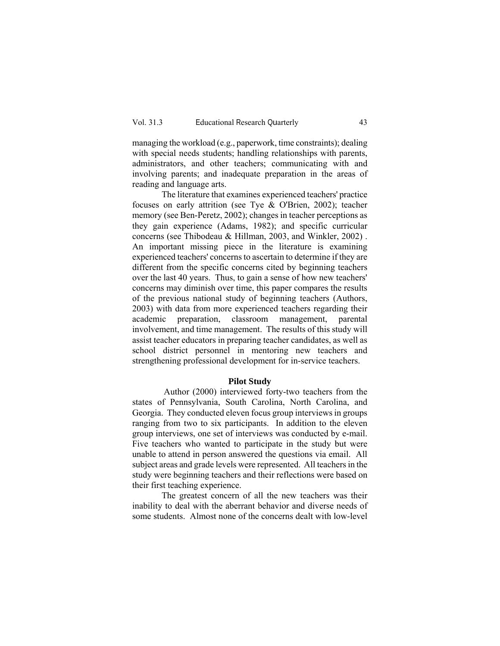managing the workload (e.g., paperwork, time constraints); dealing with special needs students; handling relationships with parents, administrators, and other teachers; communicating with and involving parents; and inadequate preparation in the areas of reading and language arts.

The literature that examines experienced teachers' practice focuses on early attrition (see Tye & O'Brien, 2002); teacher memory (see Ben-Peretz, 2002); changes in teacher perceptions as they gain experience (Adams, 1982); and specific curricular concerns (see Thibodeau & Hillman, 2003, and Winkler, 2002) . An important missing piece in the literature is examining experienced teachers' concerns to ascertain to determine if they are different from the specific concerns cited by beginning teachers over the last 40 years. Thus, to gain a sense of how new teachers' concerns may diminish over time, this paper compares the results of the previous national study of beginning teachers (Authors, 2003) with data from more experienced teachers regarding their academic preparation, classroom management, parental involvement, and time management. The results of this study will assist teacher educators in preparing teacher candidates, as well as school district personnel in mentoring new teachers and strengthening professional development for in-service teachers.

## **Pilot Study**

 Author (2000) interviewed forty-two teachers from the states of Pennsylvania, South Carolina, North Carolina, and Georgia. They conducted eleven focus group interviews in groups ranging from two to six participants. In addition to the eleven group interviews, one set of interviews was conducted by e-mail. Five teachers who wanted to participate in the study but were unable to attend in person answered the questions via email. All subject areas and grade levels were represented. All teachers in the study were beginning teachers and their reflections were based on their first teaching experience.

The greatest concern of all the new teachers was their inability to deal with the aberrant behavior and diverse needs of some students. Almost none of the concerns dealt with low-level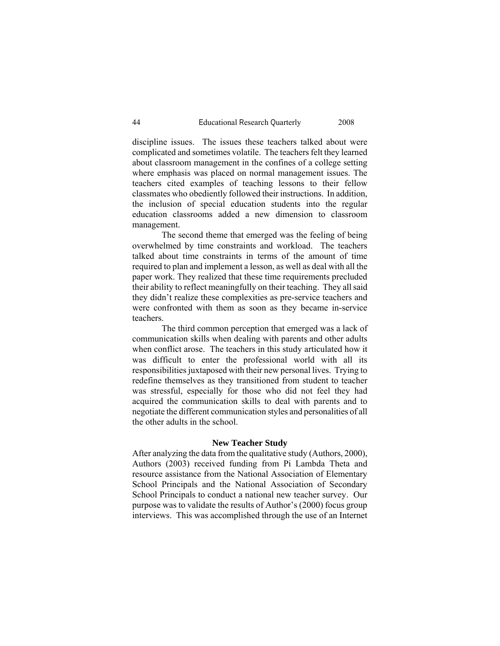discipline issues. The issues these teachers talked about were complicated and sometimes volatile. The teachers felt they learned about classroom management in the confines of a college setting where emphasis was placed on normal management issues. The teachers cited examples of teaching lessons to their fellow classmates who obediently followed their instructions. In addition, the inclusion of special education students into the regular education classrooms added a new dimension to classroom management.

The second theme that emerged was the feeling of being overwhelmed by time constraints and workload. The teachers talked about time constraints in terms of the amount of time required to plan and implement a lesson, as well as deal with all the paper work. They realized that these time requirements precluded their ability to reflect meaningfully on their teaching. They all said they didn't realize these complexities as pre-service teachers and were confronted with them as soon as they became in-service teachers.

The third common perception that emerged was a lack of communication skills when dealing with parents and other adults when conflict arose. The teachers in this study articulated how it was difficult to enter the professional world with all its responsibilities juxtaposed with their new personal lives. Trying to redefine themselves as they transitioned from student to teacher was stressful, especially for those who did not feel they had acquired the communication skills to deal with parents and to negotiate the different communication styles and personalities of all the other adults in the school.

### **New Teacher Study**

After analyzing the data from the qualitative study (Authors, 2000), Authors (2003) received funding from Pi Lambda Theta and resource assistance from the National Association of Elementary School Principals and the National Association of Secondary School Principals to conduct a national new teacher survey. Our purpose was to validate the results of Author's (2000) focus group interviews. This was accomplished through the use of an Internet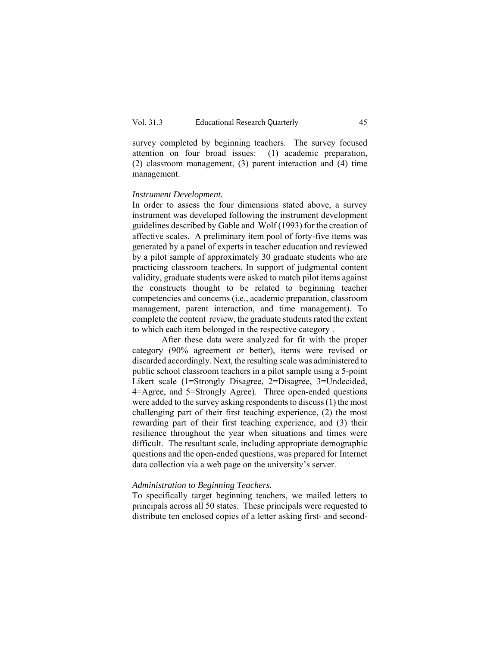survey completed by beginning teachers. The survey focused attention on four broad issues: (1) academic preparation, (2) classroom management, (3) parent interaction and (4) time management.

### *Instrument Development.*

In order to assess the four dimensions stated above, a survey instrument was developed following the instrument development guidelines described by Gable and Wolf (1993) for the creation of affective scales. A preliminary item pool of forty-five items was generated by a panel of experts in teacher education and reviewed by a pilot sample of approximately 30 graduate students who are practicing classroom teachers. In support of judgmental content validity, graduate students were asked to match pilot items against the constructs thought to be related to beginning teacher competencies and concerns (i.e., academic preparation, classroom management, parent interaction, and time management). To complete the content review, the graduate students rated the extent to which each item belonged in the respective category .

After these data were analyzed for fit with the proper category (90% agreement or better), items were revised or discarded accordingly. Next, the resulting scale was administered to public school classroom teachers in a pilot sample using a 5-point Likert scale (1=Strongly Disagree, 2=Disagree, 3=Undecided, 4=Agree, and 5=Strongly Agree). Three open-ended questions were added to the survey asking respondents to discuss (1) the most challenging part of their first teaching experience, (2) the most rewarding part of their first teaching experience, and (3) their resilience throughout the year when situations and times were difficult. The resultant scale, including appropriate demographic questions and the open-ended questions, was prepared for Internet data collection via a web page on the university's server.

# *Administration to Beginning Teachers.*

To specifically target beginning teachers, we mailed letters to principals across all 50 states. These principals were requested to distribute ten enclosed copies of a letter asking first- and second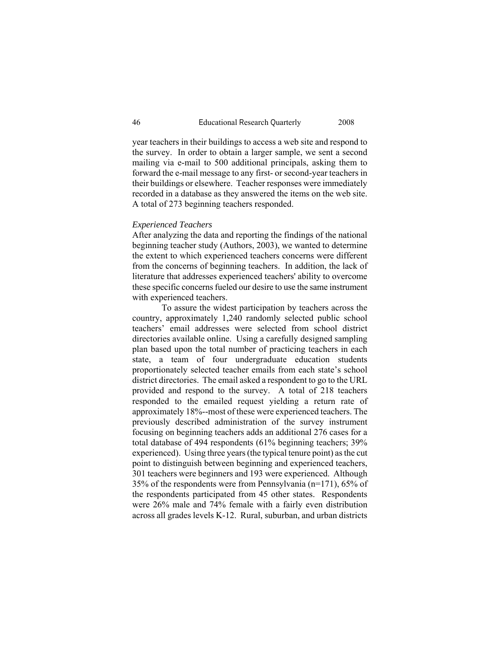year teachers in their buildings to access a web site and respond to the survey. In order to obtain a larger sample, we sent a second mailing via e-mail to 500 additional principals, asking them to forward the e-mail message to any first- or second-year teachers in their buildings or elsewhere. Teacher responses were immediately recorded in a database as they answered the items on the web site. A total of 273 beginning teachers responded.

# *Experienced Teachers*

After analyzing the data and reporting the findings of the national beginning teacher study (Authors, 2003), we wanted to determine the extent to which experienced teachers concerns were different from the concerns of beginning teachers. In addition, the lack of literature that addresses experienced teachers' ability to overcome these specific concerns fueled our desire to use the same instrument with experienced teachers.

 To assure the widest participation by teachers across the country, approximately 1,240 randomly selected public school teachers' email addresses were selected from school district directories available online. Using a carefully designed sampling plan based upon the total number of practicing teachers in each state, a team of four undergraduate education students proportionately selected teacher emails from each state's school district directories. The email asked a respondent to go to the URL provided and respond to the survey. A total of 218 teachers responded to the emailed request yielding a return rate of approximately 18%--most of these were experienced teachers. The previously described administration of the survey instrument focusing on beginning teachers adds an additional 276 cases for a total database of 494 respondents (61% beginning teachers; 39% experienced). Using three years (the typical tenure point) as the cut point to distinguish between beginning and experienced teachers, 301 teachers were beginners and 193 were experienced. Although 35% of the respondents were from Pennsylvania (n=171), 65% of the respondents participated from 45 other states. Respondents were 26% male and 74% female with a fairly even distribution across all grades levels K-12. Rural, suburban, and urban districts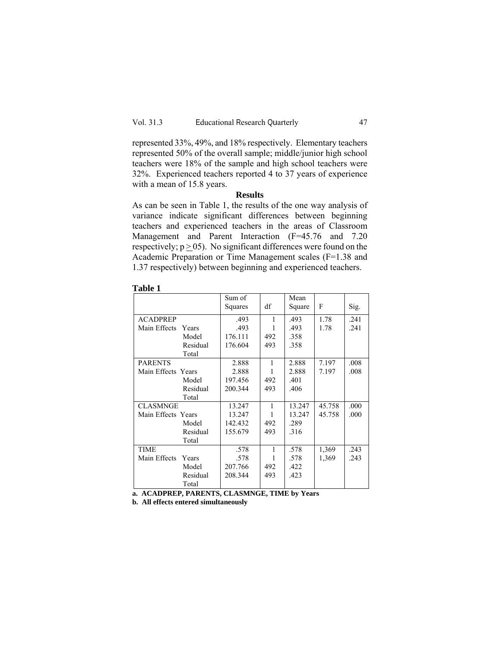represented 33%, 49%, and 18% respectively. Elementary teachers represented 50% of the overall sample; middle/junior high school teachers were 18% of the sample and high school teachers were 32%. Experienced teachers reported 4 to 37 years of experience with a mean of 15.8 years.

## **Results**

As can be seen in Table 1, the results of the one way analysis of variance indicate significant differences between beginning teachers and experienced teachers in the areas of Classroom Management and Parent Interaction (F=45.76 and 7.20 respectively;  $p \ge 05$ ). No significant differences were found on the Academic Preparation or Time Management scales (F=1.38 and 1.37 respectively) between beginning and experienced teachers.

|                       | Sum of  |              | Mean   |        |      |
|-----------------------|---------|--------------|--------|--------|------|
|                       | Squares | df           | Square | F      | Sig. |
| <b>ACADPREP</b>       | .493    | $\mathbf{1}$ | .493   | 1.78   | .241 |
| Main Effects<br>Years | .493    |              | .493   | 1.78   | .241 |
| Model                 | 176.111 | 492          | .358   |        |      |
| Residual              | 176.604 | 493          | .358   |        |      |
| Total                 |         |              |        |        |      |
| <b>PARENTS</b>        | 2.888   | 1            | 2.888  | 7.197  | .008 |
| Main Effects Years    | 2.888   | 1            | 2.888  | 7.197  | .008 |
| Model                 | 197.456 | 492          | .401   |        |      |
| Residual              | 200.344 | 493          | .406   |        |      |
| Total                 |         |              |        |        |      |
| CLASMNGE              | 13.247  | $\mathbf{1}$ | 13.247 | 45.758 | .000 |
| Main Effects Years    | 13.247  | 1            | 13.247 | 45.758 | .000 |
| Model                 | 142.432 | 492          | .289   |        |      |
| Residual              | 155.679 | 493          | .316   |        |      |
| Total                 |         |              |        |        |      |
| <b>TIME</b>           | .578    | $\mathbf{1}$ | .578   | 1,369  | .243 |
| Main Effects<br>Years | .578    |              | .578   | 1,369  | .243 |
| Model                 | 207.766 | 492          | .422   |        |      |
| Residual              | 208.344 | 493          | .423   |        |      |
| Total                 |         |              |        |        |      |

**Table 1** 

**a. ACADPREP, PARENTS, CLASMNGE, TIME by Years** 

**b. All effects entered simultaneously**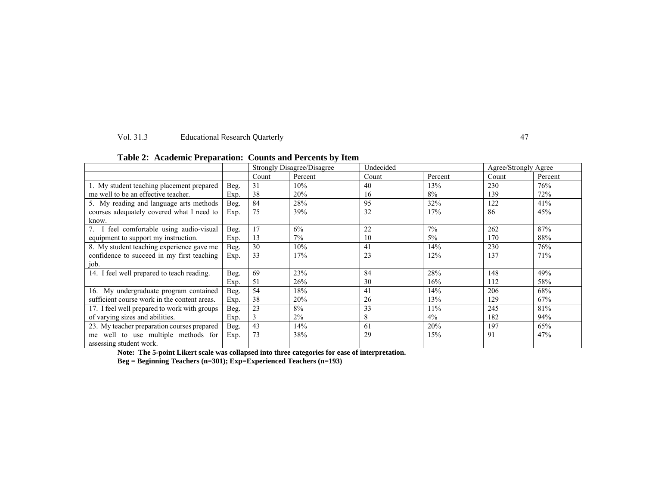#### Vol. 31.3 **Educational Research Quarterly** 47

| rabic 2. Academic Freparation. Counts and Fercents by Rein |      |                            |         |           |         |                      |         |  |  |
|------------------------------------------------------------|------|----------------------------|---------|-----------|---------|----------------------|---------|--|--|
|                                                            |      | Strongly Disagree/Disagree |         | Undecided |         | Agree/Strongly Agree |         |  |  |
|                                                            |      | Count                      | Percent | Count     | Percent | Count                | Percent |  |  |
| $\overline{1}$ . My student teaching placement prepared    | Beg. | 31                         | 10%     | 40        | 13%     | 230                  | 76%     |  |  |
| me well to be an effective teacher.                        | Exp. | 38                         | 20%     | 16        | 8%      | 139                  | 72%     |  |  |
| 5. My reading and language arts methods                    | Beg. | 84                         | 28%     | 95        | 32%     | 122                  | 41%     |  |  |
| courses adequately covered what I need to                  | Exp. | 75                         | 39%     | 32        | 17%     | 86                   | 45%     |  |  |
| know.                                                      |      |                            |         |           |         |                      |         |  |  |
| I feel comfortable using audio-visual                      | Beg. | 17                         | 6%      | 22        | 7%      | 262                  | 87%     |  |  |
| equipment to support my instruction.                       | Exp. | 13                         | $7\%$   | 10        | 5%      | 170                  | 88%     |  |  |
| 8. My student teaching experience gave me                  | Beg. | 30                         | 10%     | 41        | 14%     | 230                  | 76%     |  |  |
| confidence to succeed in my first teaching                 | Exp. | 33                         | 17%     | 23        | 12%     | 137                  | 71%     |  |  |
| job.                                                       |      |                            |         |           |         |                      |         |  |  |
| 14. I feel well prepared to teach reading.                 | Beg. | 69                         | 23%     | 84        | 28%     | 148                  | 49%     |  |  |
|                                                            | Exp. | 51                         | 26%     | 30        | 16%     | 112                  | 58%     |  |  |
| 16. My undergraduate program contained                     | Beg. | 54                         | 18%     | 41        | 14%     | 206                  | 68%     |  |  |
| sufficient course work in the content areas.               | Exp. | 38                         | 20%     | 26        | 13%     | 129                  | 67%     |  |  |
| 17. I feel well prepared to work with groups               | Beg. | 23                         | 8%      | 33        | 11%     | 245                  | 81%     |  |  |
| of varying sizes and abilities.                            | Exp. |                            | $2\%$   | 8         | $4\%$   | 182                  | 94%     |  |  |
| 23. My teacher preparation courses prepared                | Beg. | 43                         | 14%     | 61        | 20%     | 197                  | 65%     |  |  |
| well to use multiple methods for<br>me                     | Exp. | 73                         | 38%     | 29        | 15%     | 91                   | 47%     |  |  |
| assessing student work.                                    |      |                            |         |           |         |                      |         |  |  |

# **Table 2: Academic Preparation: Counts and Percents by Item**

**Note: The 5-point Likert scale was collapsed into three categories for ease of interpretation.** 

**Beg = Beginning Teachers (n=301); Exp=Experienced Teachers (n=193)**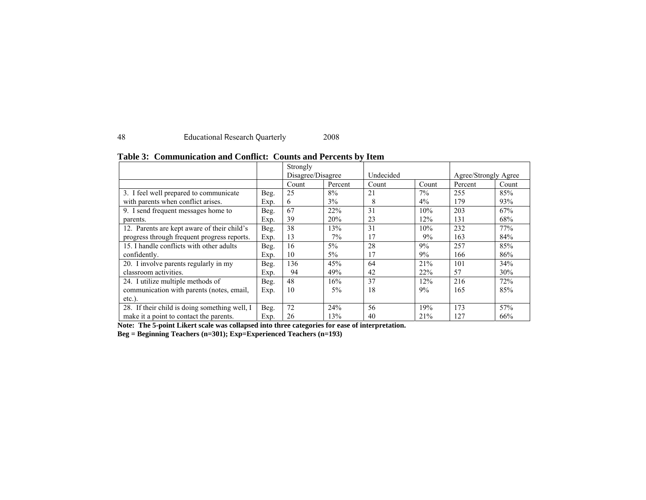# 48 Educational Research Quarterly 2008

|                                               |      | Strongly          |         |           |       |                      |       |
|-----------------------------------------------|------|-------------------|---------|-----------|-------|----------------------|-------|
|                                               |      | Disagree/Disagree |         | Undecided |       | Agree/Strongly Agree |       |
|                                               |      | Count             | Percent | Count     | Count | Percent              | Count |
| 3. I feel well prepared to communicate        | Beg. | 25                | 8%      | 21        | 7%    | 255                  | 85%   |
| with parents when conflict arises.            | Exp. | 6                 | $3\%$   | 8         | $4\%$ | 179                  | 93%   |
| 9. I send frequent messages home to           | Beg. | 67                | 22%     | 31        | 10%   | 203                  | 67%   |
| parents.                                      | Exp. | 39                | 20%     | 23        | 12%   | 131                  | 68%   |
| 12. Parents are kept aware of their child's   | Beg. | 38                | 13%     | 31        | 10%   | 232                  | 77%   |
| progress through frequent progress reports.   | Exp. | 13                | 7%      | 17        | 9%    | 163                  | 84%   |
| 15. I handle conflicts with other adults      | Beg. | 16                | $5\%$   | 28        | 9%    | 257                  | 85%   |
| confidently.                                  | Exp. | 10                | $5\%$   | 17        | 9%    | 166                  | 86%   |
| 20. I involve parents regularly in my         | Beg. | 136               | 45%     | 64        | 21%   | 101                  | 34%   |
| classroom activities.                         | Exp. | 94                | 49%     | 42        | 22%   | 57                   | 30%   |
| 24. I utilize multiple methods of             | Beg. | 48                | 16%     | 37        | 12%   | 216                  | 72%   |
| communication with parents (notes, email,     | Exp. | 10                | $5\%$   | 18        | 9%    | 165                  | 85%   |
| $etc.$ ).                                     |      |                   |         |           |       |                      |       |
| 28. If their child is doing something well, I | Beg. | 72                | 24%     | 56        | 19%   | 173                  | 57%   |
| make it a point to contact the parents.       | Exp. | 26                | 13%     | 40        | 21%   | 127                  | 66%   |

# **Table 3: Communication and Conflict: Counts and Percents by Item**

**Note: The 5-point Likert scale was collapsed into three categories for ease of interpretation.** 

**Beg = Beginning Teachers (n=301); Exp=Experienced Teachers (n=193)**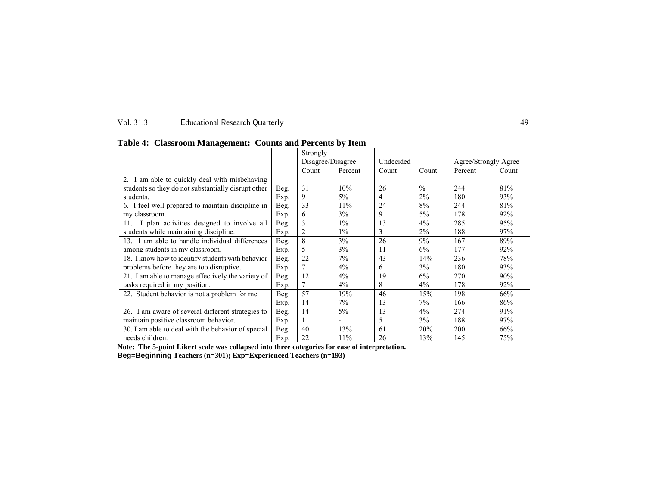### Vol. 31.3 Educational Research Quarterly 49

|                                                     |      | Strongly<br>Disagree/Disagree |                          | Undecided |               | Agree/Strongly Agree |       |
|-----------------------------------------------------|------|-------------------------------|--------------------------|-----------|---------------|----------------------|-------|
|                                                     |      | Count                         | Percent                  | Count     | Count         | Percent              | Count |
| 2. I am able to quickly deal with misbehaving       |      |                               |                          |           |               |                      |       |
| students so they do not substantially disrupt other | Beg. | 31                            | 10%                      | 26        | $\frac{0}{0}$ | 244                  | 81%   |
| students.                                           | Exp. | 9                             | 5%                       | 4         | 2%            | 180                  | 93%   |
| 6. I feel well prepared to maintain discipline in   | Beg. | 33                            | 11%                      | 24        | 8%            | 244                  | 81%   |
| my classroom.                                       | Exp. | 6                             | 3%                       | 9         | $5\%$         | 178                  | 92%   |
| 11. I plan activities designed to involve all       | Beg. | 3                             | $1\%$                    | 13        | 4%            | 285                  | 95%   |
| students while maintaining discipline.              | Exp. | 2                             | $1\%$                    |           | $2\%$         | 188                  | 97%   |
| 13. I am able to handle individual differences      | Beg. | 8                             | 3%                       | 26        | 9%            | 167                  | 89%   |
| among students in my classroom.                     | Exp. | 5                             | 3%                       | 11        | 6%            | 177                  | 92%   |
| 18. I know how to identify students with behavior   | Beg. | 22                            | $7\%$                    | 43        | 14%           | 236                  | 78%   |
| problems before they are too disruptive.            | Exp. | 7                             | $4\%$                    | 6         | 3%            | 180                  | 93%   |
| 21. I am able to manage effectively the variety of  | Beg. | 12                            | 4%                       | 19        | 6%            | 270                  | 90%   |
| tasks required in my position.                      | Exp. |                               | $4\%$                    | 8         | $4\%$         | 178                  | 92%   |
| 22. Student behavior is not a problem for me.       | Beg. | 57                            | 19%                      | 46        | 15%           | 198                  | 66%   |
|                                                     | Exp. | 14                            | 7%                       | 13        | $7\%$         | 166                  | 86%   |
| 26. I am aware of several different strategies to   | Beg. | 14                            | $5\%$                    | 13        | 4%            | 274                  | 91%   |
| maintain positive classroom behavior.               | Exp. |                               | $\overline{\phantom{0}}$ | 5         | 3%            | 188                  | 97%   |
| 30. I am able to deal with the behavior of special  | Beg. | 40                            | 13%                      | 61        | 20%           | 200                  | 66%   |
| needs children.                                     | Exp. | 22                            | 11%                      | 26        | 13%           | 145                  | 75%   |

**Table 4: Classroom Management: Counts and Percents by Item**

**Note: The 5-point Likert scale was collapsed into three categories for ease of interpretation.** 

**Beg=Beginning Teachers (n=301); Exp=Experienced Teachers (n=193)**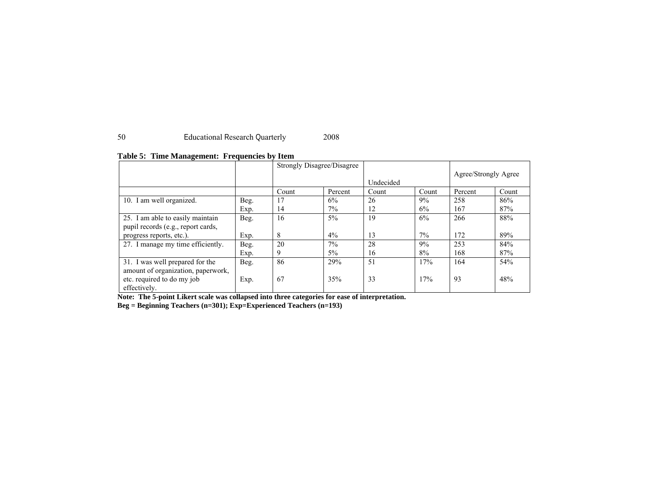# 50 Educational Research Quarterly 2008

|                                    |      | Strongly Disagree/Disagree |         |           | Agree/Strongly Agree |         |       |
|------------------------------------|------|----------------------------|---------|-----------|----------------------|---------|-------|
|                                    |      |                            |         | Undecided |                      |         |       |
|                                    |      | Count                      | Percent | Count     | Count                | Percent | Count |
| 10. I am well organized.           | Beg. | 17                         | 6%      | 26        | 9%                   | 258     | 86%   |
|                                    | Exp. | 14                         | $7\%$   | 12        | 6%                   | 167     | 87%   |
| 25. I am able to easily maintain   | Beg. | 16                         | 5%      | 19        | 6%                   | 266     | 88%   |
| pupil records (e.g., report cards, |      |                            |         |           |                      |         |       |
| progress reports, etc.).           | Exp. | 8                          | 4%      | 13        | 7%                   | 172     | 89%   |
| 27. I manage my time efficiently.  | Beg. | 20                         | 7%      | 28        | 9%                   | 253     | 84%   |
|                                    | Exp. | 9                          | 5%      | 16        | 8%                   | 168     | 87%   |
| 31. I was well prepared for the    | Beg. | 86                         | 29%     | 51        | 17%                  | 164     | 54%   |
| amount of organization, paperwork, |      |                            |         |           |                      |         |       |
| etc. required to do my job         | Exp. | 67                         | 35%     | 33        | 17%                  | 93      | 48%   |
| effectively.                       |      |                            |         |           |                      |         |       |

## **Table 5: Time Management: Frequencies by Item**

**Note: The 5-point Likert scale was collapsed into three categories for ease of interpretation.** 

**Beg = Beginning Teachers (n=301); Exp=Experienced Teachers (n=193)**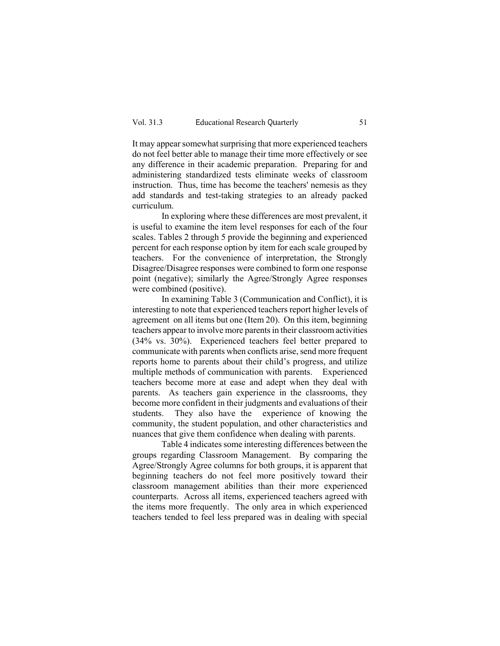It may appear somewhat surprising that more experienced teachers do not feel better able to manage their time more effectively or see any difference in their academic preparation. Preparing for and administering standardized tests eliminate weeks of classroom instruction. Thus, time has become the teachers' nemesis as they add standards and test-taking strategies to an already packed curriculum.

In exploring where these differences are most prevalent, it is useful to examine the item level responses for each of the four scales. Tables 2 through 5 provide the beginning and experienced percent for each response option by item for each scale grouped by teachers. For the convenience of interpretation, the Strongly Disagree/Disagree responses were combined to form one response point (negative); similarly the Agree/Strongly Agree responses were combined (positive).

In examining Table 3 (Communication and Conflict), it is interesting to note that experienced teachers report higher levels of agreement on all items but one (Item 20). On this item, beginning teachers appear to involve more parents in their classroom activities (34% vs. 30%). Experienced teachers feel better prepared to communicate with parents when conflicts arise, send more frequent reports home to parents about their child's progress, and utilize multiple methods of communication with parents. Experienced teachers become more at ease and adept when they deal with parents. As teachers gain experience in the classrooms, they become more confident in their judgments and evaluations of their students. They also have the experience of knowing the community, the student population, and other characteristics and nuances that give them confidence when dealing with parents.

Table 4 indicates some interesting differences between the groups regarding Classroom Management. By comparing the Agree/Strongly Agree columns for both groups, it is apparent that beginning teachers do not feel more positively toward their classroom management abilities than their more experienced counterparts. Across all items, experienced teachers agreed with the items more frequently. The only area in which experienced teachers tended to feel less prepared was in dealing with special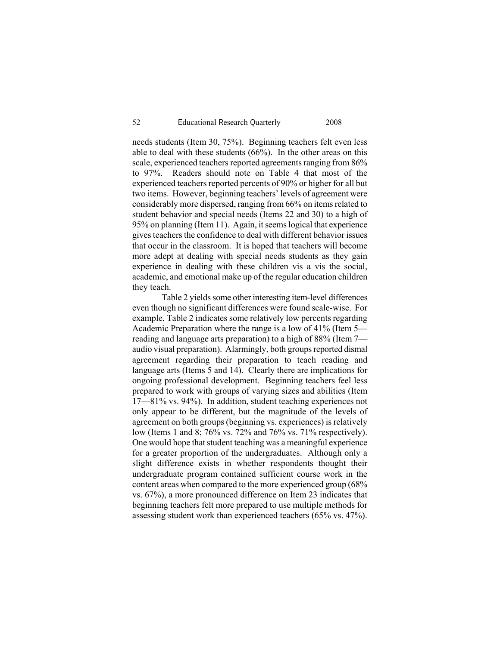needs students (Item 30, 75%). Beginning teachers felt even less able to deal with these students (66%). In the other areas on this scale, experienced teachers reported agreements ranging from 86% to 97%. Readers should note on Table 4 that most of the experienced teachers reported percents of 90% or higher for all but two items. However, beginning teachers' levels of agreement were considerably more dispersed, ranging from 66% on items related to student behavior and special needs (Items 22 and 30) to a high of 95% on planning (Item 11). Again, it seems logical that experience gives teachers the confidence to deal with different behavior issues that occur in the classroom. It is hoped that teachers will become more adept at dealing with special needs students as they gain experience in dealing with these children vis a vis the social, academic, and emotional make up of the regular education children they teach.

Table 2 yields some other interesting item-level differences even though no significant differences were found scale-wise. For example, Table 2 indicates some relatively low percents regarding Academic Preparation where the range is a low of 41% (Item 5 reading and language arts preparation) to a high of 88% (Item 7 audio visual preparation). Alarmingly, both groups reported dismal agreement regarding their preparation to teach reading and language arts (Items 5 and 14). Clearly there are implications for ongoing professional development. Beginning teachers feel less prepared to work with groups of varying sizes and abilities (Item 17—81% vs. 94%). In addition, student teaching experiences not only appear to be different, but the magnitude of the levels of agreement on both groups (beginning vs. experiences) is relatively low (Items 1 and 8; 76% vs. 72% and 76% vs. 71% respectively). One would hope that student teaching was a meaningful experience for a greater proportion of the undergraduates. Although only a slight difference exists in whether respondents thought their undergraduate program contained sufficient course work in the content areas when compared to the more experienced group (68% vs. 67%), a more pronounced difference on Item 23 indicates that beginning teachers felt more prepared to use multiple methods for assessing student work than experienced teachers (65% vs. 47%).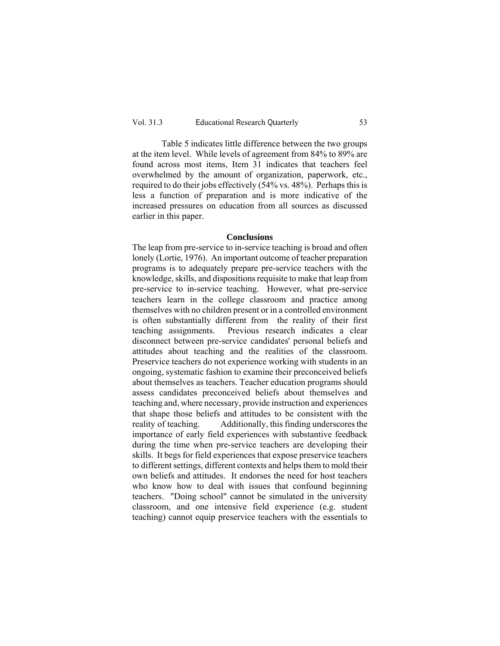Table 5 indicates little difference between the two groups at the item level. While levels of agreement from 84% to 89% are found across most items, Item 31 indicates that teachers feel overwhelmed by the amount of organization, paperwork, etc., required to do their jobs effectively (54% vs. 48%). Perhaps this is less a function of preparation and is more indicative of the increased pressures on education from all sources as discussed earlier in this paper.

### **Conclusions**

The leap from pre-service to in-service teaching is broad and often lonely (Lortie, 1976). An important outcome of teacher preparation programs is to adequately prepare pre-service teachers with the knowledge, skills, and dispositions requisite to make that leap from pre-service to in-service teaching. However, what pre-service teachers learn in the college classroom and practice among themselves with no children present or in a controlled environment is often substantially different from the reality of their first teaching assignments. Previous research indicates a clear disconnect between pre-service candidates' personal beliefs and attitudes about teaching and the realities of the classroom. Preservice teachers do not experience working with students in an ongoing, systematic fashion to examine their preconceived beliefs about themselves as teachers. Teacher education programs should assess candidates preconceived beliefs about themselves and teaching and, where necessary, provide instruction and experiences that shape those beliefs and attitudes to be consistent with the reality of teaching. Additionally, this finding underscores the importance of early field experiences with substantive feedback during the time when pre-service teachers are developing their skills. It begs for field experiences that expose preservice teachers to different settings, different contexts and helps them to mold their own beliefs and attitudes. It endorses the need for host teachers who know how to deal with issues that confound beginning teachers. "Doing school" cannot be simulated in the university classroom, and one intensive field experience (e.g. student teaching) cannot equip preservice teachers with the essentials to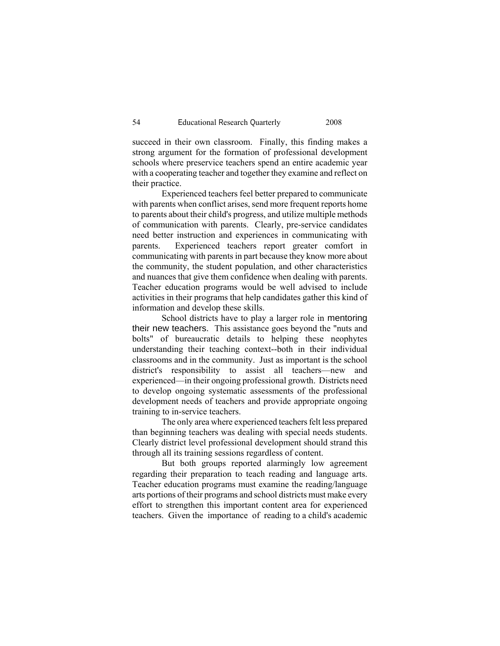succeed in their own classroom. Finally, this finding makes a strong argument for the formation of professional development schools where preservice teachers spend an entire academic year with a cooperating teacher and together they examine and reflect on their practice.

 Experienced teachers feel better prepared to communicate with parents when conflict arises, send more frequent reports home to parents about their child's progress, and utilize multiple methods of communication with parents. Clearly, pre-service candidates need better instruction and experiences in communicating with parents. Experienced teachers report greater comfort in communicating with parents in part because they know more about the community, the student population, and other characteristics and nuances that give them confidence when dealing with parents. Teacher education programs would be well advised to include activities in their programs that help candidates gather this kind of information and develop these skills.

 School districts have to play a larger role in mentoring their new teachers. This assistance goes beyond the "nuts and bolts" of bureaucratic details to helping these neophytes understanding their teaching context--both in their individual classrooms and in the community. Just as important is the school district's responsibility to assist all teachers—new and experienced—in their ongoing professional growth. Districts need to develop ongoing systematic assessments of the professional development needs of teachers and provide appropriate ongoing training to in-service teachers.

 The only area where experienced teachers felt less prepared than beginning teachers was dealing with special needs students. Clearly district level professional development should strand this through all its training sessions regardless of content.

 But both groups reported alarmingly low agreement regarding their preparation to teach reading and language arts. Teacher education programs must examine the reading/language arts portions of their programs and school districts must make every effort to strengthen this important content area for experienced teachers. Given the importance of reading to a child's academic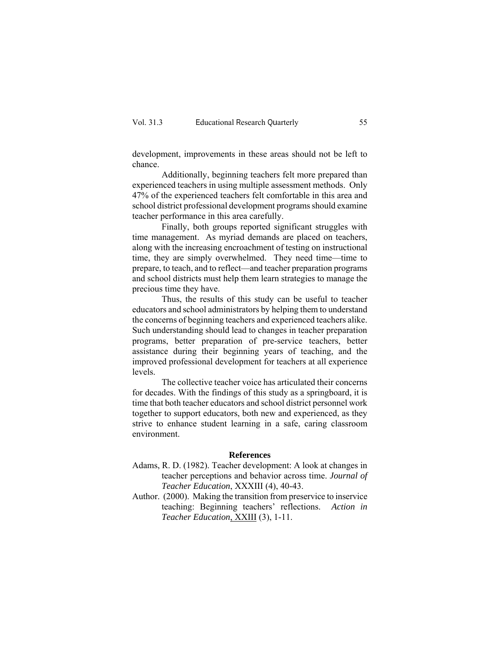development, improvements in these areas should not be left to chance.

 Additionally, beginning teachers felt more prepared than experienced teachers in using multiple assessment methods. Only 47% of the experienced teachers felt comfortable in this area and school district professional development programs should examine teacher performance in this area carefully.

 Finally, both groups reported significant struggles with time management. As myriad demands are placed on teachers, along with the increasing encroachment of testing on instructional time, they are simply overwhelmed. They need time—time to prepare, to teach, and to reflect—and teacher preparation programs and school districts must help them learn strategies to manage the precious time they have.

Thus, the results of this study can be useful to teacher educators and school administrators by helping them to understand the concerns of beginning teachers and experienced teachers alike. Such understanding should lead to changes in teacher preparation programs, better preparation of pre-service teachers, better assistance during their beginning years of teaching, and the improved professional development for teachers at all experience levels.

The collective teacher voice has articulated their concerns for decades. With the findings of this study as a springboard, it is time that both teacher educators and school district personnel work together to support educators, both new and experienced, as they strive to enhance student learning in a safe, caring classroom environment.

### **References**

- Adams, R. D. (1982). Teacher development: A look at changes in teacher perceptions and behavior across time. *Journal of Teacher Education*, XXXIII (4), 40-43.
- Author. (2000). Making the transition from preservice to inservice teaching: Beginning teachers' reflections. *Action in Teacher Education*, XXIII (3), 1-11.